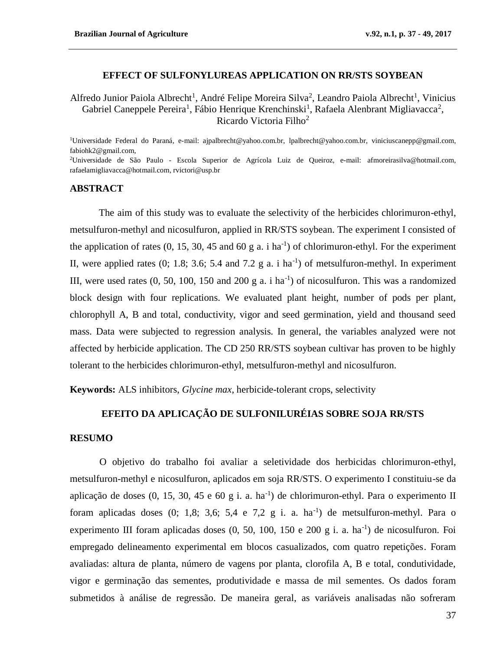## **EFFECT OF SULFONYLUREAS APPLICATION ON RR/STS SOYBEAN**

Alfredo Junior Paiola Albrecht<sup>1</sup>, André Felipe Moreira Silva<sup>2</sup>, Leandro Paiola Albrecht<sup>1</sup>, Vinicius Gabriel Caneppele Pereira<sup>1</sup>, Fábio Henrique Krenchinski<sup>1</sup>, Rafaela Alenbrant Migliavacca<sup>2</sup>, Ricardo Victoria Filho<sup>2</sup>

<sup>1</sup>Universidade Federal do Paraná, e-mail: ajpalbrecht@yahoo.com.br, lpalbrecht@yahoo.com.br, viniciuscanepp@gmail.com, fabiohk2@gmail.com,

<sup>2</sup>Universidade de São Paulo - Escola Superior de Agrícola Luiz de Queiroz, e-mail: afmoreirasilva@hotmail.com, rafaelamigliavacca@hotmail.com, rvictori@usp.br

### **ABSTRACT**

The aim of this study was to evaluate the selectivity of the herbicides chlorimuron-ethyl, metsulfuron-methyl and nicosulfuron, applied in RR/STS soybean. The experiment I consisted of the application of rates  $(0, 15, 30, 45, 45, 60, g \text{ a. i ha}^{-1})$  of chlorimuron-ethyl. For the experiment II, were applied rates  $(0; 1.8; 3.6; 5.4 \text{ and } 7.2 \text{ g a. i ha}^{-1})$  of metsulfuron-methyl. In experiment III, were used rates  $(0, 50, 100, 150, 100, 200, g \text{ a. i ha}^{-1})$  of nicosulfuron. This was a randomized block design with four replications. We evaluated plant height, number of pods per plant, chlorophyll A, B and total, conductivity, vigor and seed germination, yield and thousand seed mass. Data were subjected to regression analysis. In general, the variables analyzed were not affected by herbicide application. The CD 250 RR/STS soybean cultivar has proven to be highly tolerant to the herbicides chlorimuron-ethyl, metsulfuron-methyl and nicosulfuron.

**Keywords:** ALS inhibitors, *Glycine max*, herbicide-tolerant crops, selectivity

# **EFEITO DA APLICAÇÃO DE SULFONILURÉIAS SOBRE SOJA RR/STS**

### **RESUMO**

O objetivo do trabalho foi avaliar a seletividade dos herbicidas chlorimuron-ethyl, metsulfuron-methyl e nicosulfuron, aplicados em soja RR/STS. O experimento I constituiu-se da aplicação de doses  $(0, 15, 30, 45, 60, g$  i. a. ha<sup>-1</sup>) de chlorimuron-ethyl. Para o experimento II foram aplicadas doses  $(0; 1,8; 3,6; 5,4 \text{ e } 7,2 \text{ g } i.$  a. ha<sup>-1</sup>) de metsulfuron-methyl. Para o experimento III foram aplicadas doses (0, 50, 100, 150 e 200 g i. a. ha<sup>-1</sup>) de nicosulfuron. Foi empregado delineamento experimental em blocos casualizados, com quatro repetições. Foram avaliadas: altura de planta, número de vagens por planta, clorofila A, B e total, condutividade, vigor e germinação das sementes, produtividade e massa de mil sementes. Os dados foram submetidos à análise de regressão. De maneira geral, as variáveis analisadas não sofreram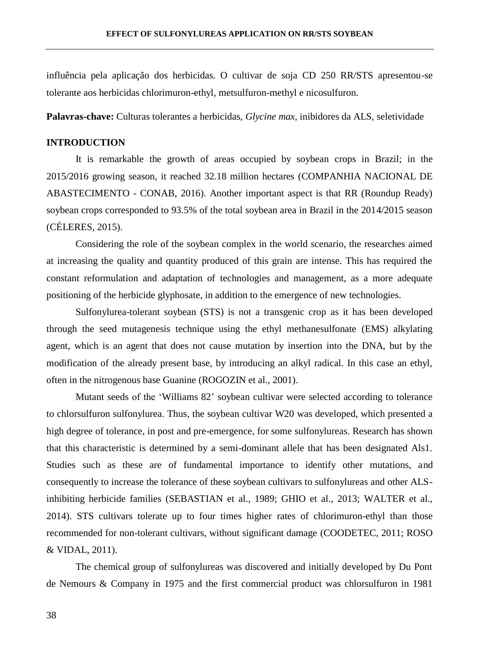influência pela aplicação dos herbicidas. O cultivar de soja CD 250 RR/STS apresentou-se tolerante aos herbicidas chlorimuron-ethyl, metsulfuron-methyl e nicosulfuron.

**Palavras-chave:** Culturas tolerantes a herbicidas, *Glycine max*, inibidores da ALS, seletividade

#### **INTRODUCTION**

It is remarkable the growth of areas occupied by soybean crops in Brazil; in the 2015/2016 growing season, it reached 32.18 million hectares (COMPANHIA NACIONAL DE ABASTECIMENTO - CONAB, 2016). Another important aspect is that RR (Roundup Ready) soybean crops corresponded to 93.5% of the total soybean area in Brazil in the 2014/2015 season (CÉLERES, 2015).

Considering the role of the soybean complex in the world scenario, the researches aimed at increasing the quality and quantity produced of this grain are intense. This has required the constant reformulation and adaptation of technologies and management, as a more adequate positioning of the herbicide glyphosate, in addition to the emergence of new technologies.

Sulfonylurea-tolerant soybean (STS) is not a transgenic crop as it has been developed through the seed mutagenesis technique using the ethyl methanesulfonate (EMS) alkylating agent, which is an agent that does not cause mutation by insertion into the DNA, but by the modification of the already present base, by introducing an alkyl radical. In this case an ethyl, often in the nitrogenous base Guanine (ROGOZIN et al., 2001).

Mutant seeds of the 'Williams 82' soybean cultivar were selected according to tolerance to chlorsulfuron sulfonylurea. Thus, the soybean cultivar W20 was developed, which presented a high degree of tolerance, in post and pre-emergence, for some sulfonylureas. Research has shown that this characteristic is determined by a semi-dominant allele that has been designated Als1. Studies such as these are of fundamental importance to identify other mutations, and consequently to increase the tolerance of these soybean cultivars to sulfonylureas and other ALSinhibiting herbicide families (SEBASTIAN et al., 1989; GHIO et al., 2013; WALTER et al., 2014). STS cultivars tolerate up to four times higher rates of chlorimuron-ethyl than those recommended for non-tolerant cultivars, without significant damage (COODETEC, 2011; ROSO & VIDAL, 2011).

The chemical group of sulfonylureas was discovered and initially developed by Du Pont de Nemours & Company in 1975 and the first commercial product was chlorsulfuron in 1981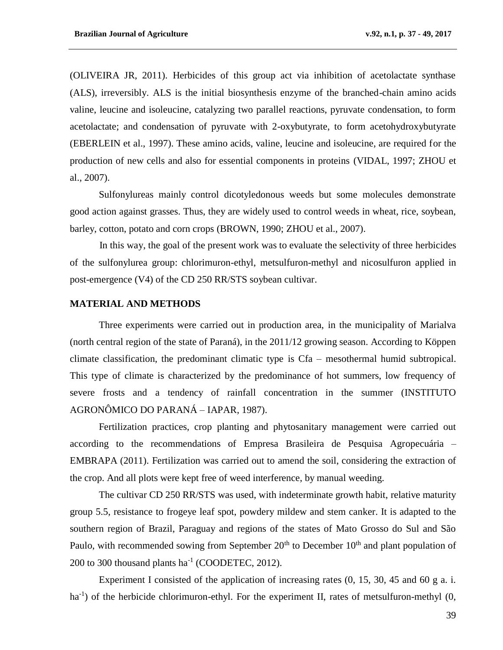(OLIVEIRA JR, 2011). Herbicides of this group act via inhibition of acetolactate synthase (ALS), irreversibly. ALS is the initial biosynthesis enzyme of the branched-chain amino acids valine, leucine and isoleucine, catalyzing two parallel reactions, pyruvate condensation, to form acetolactate; and condensation of pyruvate with 2-oxybutyrate, to form acetohydroxybutyrate (EBERLEIN et al., 1997). These amino acids, valine, leucine and isoleucine, are required for the production of new cells and also for essential components in proteins (VIDAL, 1997; ZHOU et al., 2007).

Sulfonylureas mainly control dicotyledonous weeds but some molecules demonstrate good action against grasses. Thus, they are widely used to control weeds in wheat, rice, soybean, barley, cotton, potato and corn crops (BROWN, 1990; ZHOU et al., 2007).

In this way, the goal of the present work was to evaluate the selectivity of three herbicides of the sulfonylurea group: chlorimuron-ethyl, metsulfuron-methyl and nicosulfuron applied in post-emergence (V4) of the CD 250 RR/STS soybean cultivar.

# **MATERIAL AND METHODS**

Three experiments were carried out in production area, in the municipality of Marialva (north central region of the state of Paraná), in the 2011/12 growing season. According to Köppen climate classification, the predominant climatic type is Cfa – mesothermal humid subtropical. This type of climate is characterized by the predominance of hot summers, low frequency of severe frosts and a tendency of rainfall concentration in the summer (INSTITUTO AGRONÔMICO DO PARANÁ – IAPAR, 1987).

Fertilization practices, crop planting and phytosanitary management were carried out according to the recommendations of Empresa Brasileira de Pesquisa Agropecuária – EMBRAPA (2011). Fertilization was carried out to amend the soil, considering the extraction of the crop. And all plots were kept free of weed interference, by manual weeding.

The cultivar CD 250 RR/STS was used, with indeterminate growth habit, relative maturity group 5.5, resistance to frogeye leaf spot, powdery mildew and stem canker. It is adapted to the southern region of Brazil, Paraguay and regions of the states of Mato Grosso do Sul and São Paulo, with recommended sowing from September 20<sup>th</sup> to December 10<sup>th</sup> and plant population of  $200$  to 300 thousand plants ha<sup>-1</sup> (COODETEC, 2012).

Experiment I consisted of the application of increasing rates (0, 15, 30, 45 and 60 g a. i. ha<sup>-1</sup>) of the herbicide chlorimuron-ethyl. For the experiment II, rates of metsulfuron-methyl (0,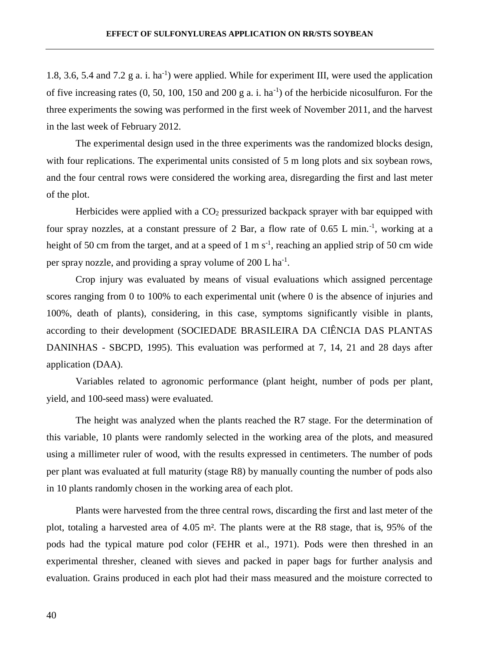1.8, 3.6, 5.4 and 7.2 g a. i. ha<sup>-1</sup>) were applied. While for experiment III, were used the application of five increasing rates  $(0, 50, 100, 150, 100, 200, g \text{ a. i. ha}^{-1})$  of the herbicide nicosulfuron. For the three experiments the sowing was performed in the first week of November 2011, and the harvest in the last week of February 2012.

The experimental design used in the three experiments was the randomized blocks design, with four replications. The experimental units consisted of 5 m long plots and six soybean rows, and the four central rows were considered the working area, disregarding the first and last meter of the plot.

Herbicides were applied with a  $CO<sub>2</sub>$  pressurized backpack sprayer with bar equipped with four spray nozzles, at a constant pressure of 2 Bar, a flow rate of 0.65 L min.<sup>-1</sup>, working at a height of 50 cm from the target, and at a speed of 1 m  $s^{-1}$ , reaching an applied strip of 50 cm wide per spray nozzle, and providing a spray volume of  $200 \text{ L} \text{ ha}^{-1}$ .

Crop injury was evaluated by means of visual evaluations which assigned percentage scores ranging from 0 to 100% to each experimental unit (where 0 is the absence of injuries and 100%, death of plants), considering, in this case, symptoms significantly visible in plants, according to their development (SOCIEDADE BRASILEIRA DA CIÊNCIA DAS PLANTAS DANINHAS - SBCPD, 1995). This evaluation was performed at 7, 14, 21 and 28 days after application (DAA).

Variables related to agronomic performance (plant height, number of pods per plant, yield, and 100-seed mass) were evaluated.

The height was analyzed when the plants reached the R7 stage. For the determination of this variable, 10 plants were randomly selected in the working area of the plots, and measured using a millimeter ruler of wood, with the results expressed in centimeters. The number of pods per plant was evaluated at full maturity (stage R8) by manually counting the number of pods also in 10 plants randomly chosen in the working area of each plot.

Plants were harvested from the three central rows, discarding the first and last meter of the plot, totaling a harvested area of 4.05 m². The plants were at the R8 stage, that is, 95% of the pods had the typical mature pod color (FEHR et al., 1971). Pods were then threshed in an experimental thresher, cleaned with sieves and packed in paper bags for further analysis and evaluation. Grains produced in each plot had their mass measured and the moisture corrected to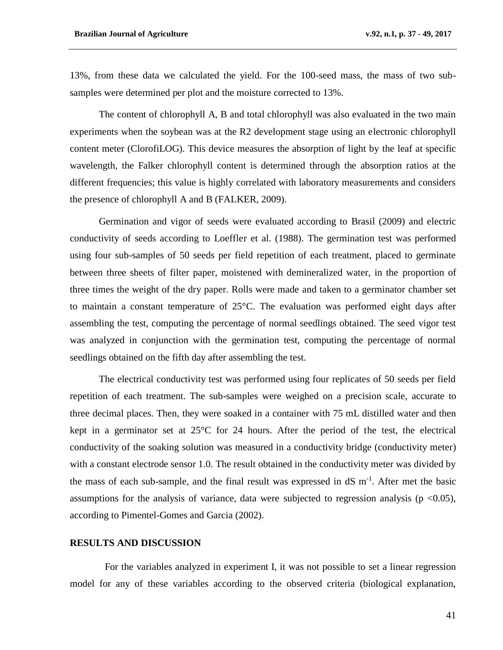13%, from these data we calculated the yield. For the 100-seed mass, the mass of two subsamples were determined per plot and the moisture corrected to 13%.

The content of chlorophyll A, B and total chlorophyll was also evaluated in the two main experiments when the soybean was at the R2 development stage using an electronic chlorophyll content meter (ClorofiLOG). This device measures the absorption of light by the leaf at specific wavelength, the Falker chlorophyll content is determined through the absorption ratios at the different frequencies; this value is highly correlated with laboratory measurements and considers the presence of chlorophyll A and B (FALKER, 2009).

Germination and vigor of seeds were evaluated according to Brasil (2009) and electric conductivity of seeds according to Loeffler et al. (1988). The germination test was performed using four sub-samples of 50 seeds per field repetition of each treatment, placed to germinate between three sheets of filter paper, moistened with demineralized water, in the proportion of three times the weight of the dry paper. Rolls were made and taken to a germinator chamber set to maintain a constant temperature of 25°C. The evaluation was performed eight days after assembling the test, computing the percentage of normal seedlings obtained. The seed vigor test was analyzed in conjunction with the germination test, computing the percentage of normal seedlings obtained on the fifth day after assembling the test.

The electrical conductivity test was performed using four replicates of 50 seeds per field repetition of each treatment. The sub-samples were weighed on a precision scale, accurate to three decimal places. Then, they were soaked in a container with 75 mL distilled water and then kept in a germinator set at 25°C for 24 hours. After the period of the test, the electrical conductivity of the soaking solution was measured in a conductivity bridge (conductivity meter) with a constant electrode sensor 1.0. The result obtained in the conductivity meter was divided by the mass of each sub-sample, and the final result was expressed in  $dS$  m<sup>-1</sup>. After met the basic assumptions for the analysis of variance, data were subjected to regression analysis ( $p < 0.05$ ), according to Pimentel-Gomes and Garcia (2002).

## **RESULTS AND DISCUSSION**

For the variables analyzed in experiment I, it was not possible to set a linear regression model for any of these variables according to the observed criteria (biological explanation,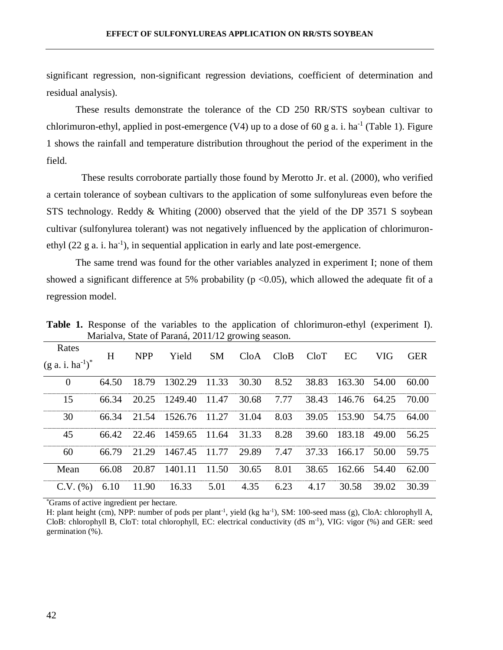significant regression, non-significant regression deviations, coefficient of determination and residual analysis).

These results demonstrate the tolerance of the CD 250 RR/STS soybean cultivar to chlorimuron-ethyl, applied in post-emergence  $(V4)$  up to a dose of 60 g a. i. ha<sup>-1</sup> (Table 1). Figure 1 shows the rainfall and temperature distribution throughout the period of the experiment in the field.

These results corroborate partially those found by Merotto Jr. et al. (2000), who verified a certain tolerance of soybean cultivars to the application of some sulfonylureas even before the STS technology. Reddy & Whiting (2000) observed that the yield of the DP 3571 S soybean cultivar (sulfonylurea tolerant) was not negatively influenced by the application of chlorimuronethyl  $(22 \text{ g a. i.} \text{ ha}^{-1})$ , in sequential application in early and late post-emergence.

The same trend was found for the other variables analyzed in experiment I; none of them showed a significant difference at 5% probability ( $p \le 0.05$ ), which allowed the adequate fit of a regression model.

| Rates<br>$(g a. i. ha^{-1})^*$ | H     | <b>NPP</b> | Yield                           | SM    | $C$ loA $C$ loB |      | CloT  | EC                 | <b>VIG</b> | <b>GER</b> |
|--------------------------------|-------|------------|---------------------------------|-------|-----------------|------|-------|--------------------|------------|------------|
| $\Omega$                       | 64.50 | 18.79      | 1302.29                         | 11.33 | 30.30           | 8.52 | 38.83 | 163.30 54.00       |            | 60.00      |
| 15                             | 66.34 |            | 20.25 1249.40 11.47 30.68       |       |                 | 7.77 | 38.43 | 146.76 64.25       |            | 70.00      |
| 30                             |       |            | 66.34 21.54 1526.76 11.27 31.04 |       |                 | 8.03 |       | 39.05 153.90 54.75 |            | 64.00      |
| 45                             |       |            | 66.42 22.46 1459.65 11.64 31.33 |       |                 | 8.28 | 39.60 | 183.18 49.00       |            | 56.25      |
| 60                             | 66.79 | 21.29      | 1467.45 11.77                   |       | 29.89           | 7.47 | 37.33 | 166.17             | 50.00      | 59.75      |
| Mean                           | 66.08 | 20.87      | 1401.11                         | 11.50 | 30.65           | 8.01 | 38.65 | 162.66 54.40       |            | 62.00      |
| $C.V.$ (%)                     | 6.10  | 11.90      | 16.33                           | 5.01  | 4.35            | 6.23 | 4.17  | 30.58              | 39.02      | 30.39      |

**Table 1.** Response of the variables to the application of chlorimuron-ethyl (experiment I). Marialva, State of Paraná, 2011/12 growing season.

\*Grams of active ingredient per hectare.

H: plant height (cm), NPP: number of pods per plant<sup>-1</sup>, yield (kg ha<sup>-1</sup>), SM: 100-seed mass (g), CloA: chlorophyll A, CloB: chlorophyll B, CloT: total chlorophyll, EC: electrical conductivity (dS m<sup>-1</sup>), VIG: vigor (%) and GER: seed germination (%).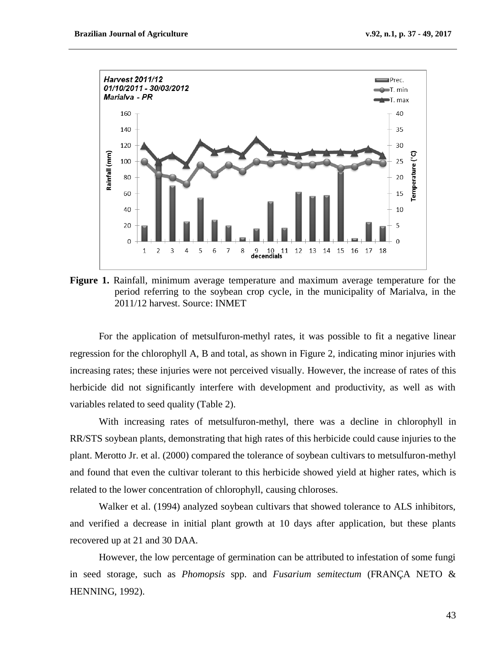

**Figure 1.** Rainfall, minimum average temperature and maximum average temperature for the period referring to the soybean crop cycle, in the municipality of Marialva, in the 2011/12 harvest. Source: INMET

For the application of metsulfuron-methyl rates, it was possible to fit a negative linear regression for the chlorophyll A, B and total, as shown in Figure 2, indicating minor injuries with increasing rates; these injuries were not perceived visually. However, the increase of rates of this herbicide did not significantly interfere with development and productivity, as well as with variables related to seed quality (Table 2).

With increasing rates of metsulfuron-methyl, there was a decline in chlorophyll in RR/STS soybean plants, demonstrating that high rates of this herbicide could cause injuries to the plant. Merotto Jr. et al. (2000) compared the tolerance of soybean cultivars to metsulfuron-methyl and found that even the cultivar tolerant to this herbicide showed yield at higher rates, which is related to the lower concentration of chlorophyll, causing chloroses.

Walker et al. (1994) analyzed soybean cultivars that showed tolerance to ALS inhibitors, and verified a decrease in initial plant growth at 10 days after application, but these plants recovered up at 21 and 30 DAA.

However, the low percentage of germination can be attributed to infestation of some fungi in seed storage, such as *Phomopsis* spp. and *Fusarium semitectum* (FRANÇA NETO & HENNING, 1992).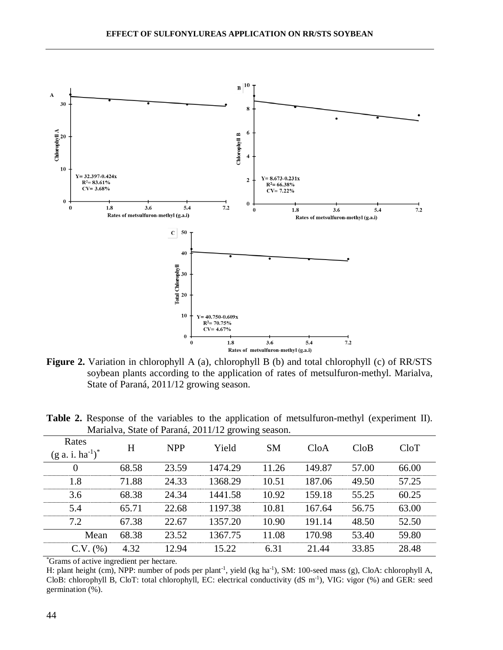

**Figure 2.** Variation in chlorophyll A (a), chlorophyll B (b) and total chlorophyll (c) of RR/STS soybean plants according to the application of rates of metsulfuron-methyl. Marialva, State of Paraná, 2011/12 growing season.

| Rates<br>$(g a. i. ha^{-1})^*$ | H     | <b>NPP</b> | Yield   | <b>SM</b> | CloA   | $C$ lo $B$ | CloT  |
|--------------------------------|-------|------------|---------|-----------|--------|------------|-------|
| $\overline{0}$                 | 68.58 | 23.59      | 1474.29 | 11.26     | 149.87 | 57.00      | 66.00 |
| 1.8                            | 71.88 | 24.33      | 1368.29 | 10.51     | 187.06 | 49.50      | 57.25 |
| 3.6                            | 68.38 | 24.34      | 1441.58 | 10.92     | 159.18 | 55.25      | 60.25 |
| 5.4                            | 65.71 | 22.68      | 1197.38 | 10.81     | 167.64 | 56.75      | 63.00 |
| 7.2                            | 67.38 | 22.67      | 1357.20 | 10.90     | 191.14 | 48.50      | 52.50 |
| Mean                           | 68.38 | 23.52      | 1367.75 | 11.08     | 170.98 | 53.40      | 59.80 |
| $C.V.$ $(\% )$                 | 4.32  | 12.94      | 15.22   | 6.31      | 21.44  | 33.85      | 28.48 |
|                                |       |            |         |           |        |            |       |

**Table 2.** Response of the variables to the application of metsulfuron-methyl (experiment II). Marialva, State of Paraná, 2011/12 growing season.

\*Grams of active ingredient per hectare.

H: plant height (cm), NPP: number of pods per plant<sup>-1</sup>, yield (kg ha<sup>-1</sup>), SM: 100-seed mass (g), CloA: chlorophyll A, CloB: chlorophyll B, CloT: total chlorophyll, EC: electrical conductivity (dS m<sup>-1</sup>), VIG: vigor (%) and GER: seed germination (%).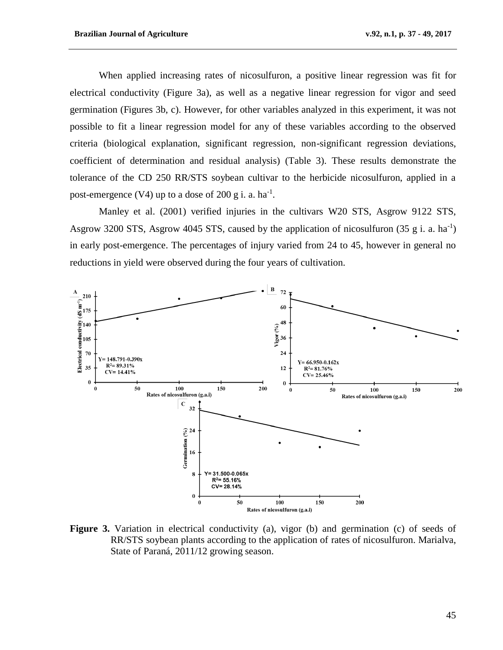When applied increasing rates of nicosulfuron, a positive linear regression was fit for electrical conductivity (Figure 3a), as well as a negative linear regression for vigor and seed germination (Figures 3b, c). However, for other variables analyzed in this experiment, it was not possible to fit a linear regression model for any of these variables according to the observed criteria (biological explanation, significant regression, non-significant regression deviations, coefficient of determination and residual analysis) (Table 3). These results demonstrate the tolerance of the CD 250 RR/STS soybean cultivar to the herbicide nicosulfuron, applied in a post-emergence  $(V4)$  up to a dose of 200 g i. a. ha<sup>-1</sup>.

Manley et al. (2001) verified injuries in the cultivars W20 STS, Asgrow 9122 STS, Asgrow 3200 STS, Asgrow 4045 STS, caused by the application of nicosulfuron  $(35 \text{ g i. a. ha}^{-1})$ in early post-emergence. The percentages of injury varied from 24 to 45, however in general no reductions in yield were observed during the four years of cultivation.



Figure 3. Variation in electrical conductivity (a), vigor (b) and germination (c) of seeds of RR/STS soybean plants according to the application of rates of nicosulfuron. Marialva, State of Paraná, 2011/12 growing season.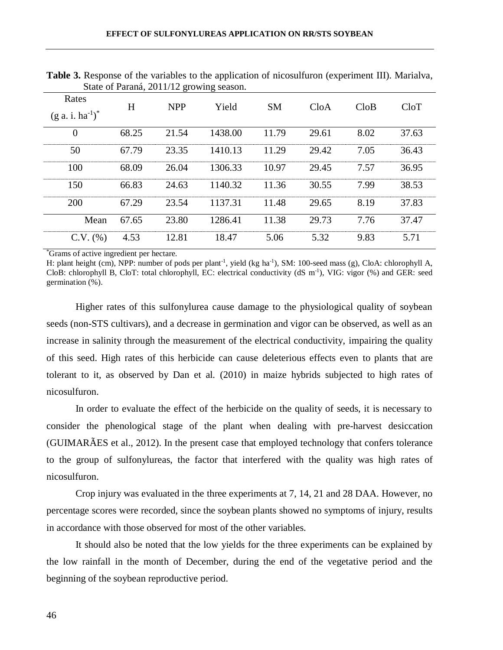|                                |       | $\circ$    | O<br>.  |           |            |            |       |
|--------------------------------|-------|------------|---------|-----------|------------|------------|-------|
| Rates<br>$(g a. i. ha^{-1})^*$ | H     | <b>NPP</b> | Yield   | <b>SM</b> | $C$ lo $A$ | $C$ lo $B$ | CloT  |
| $\overline{0}$                 | 68.25 | 21.54      | 1438.00 | 11.79     | 29.61      | 8.02       | 37.63 |
| 50                             | 67.79 | 23.35      | 1410.13 | 11.29     | 29.42      | 7.05       | 36.43 |
| 100                            | 68.09 | 26.04      | 1306.33 | 10.97     | 29.45      | 7.57       | 36.95 |
| 150                            | 66.83 | 24.63      | 1140.32 | 11.36     | 30.55      | 7.99       | 38.53 |
| 200                            | 67.29 | 23.54      | 1137.31 | 11.48     | 29.65      | 8.19       | 37.83 |
| Mean                           | 67.65 | 23.80      | 1286.41 | 11.38     | 29.73      | 7.76       | 37.47 |
| $C.V.$ $(\%)$                  | 4.53  | 12.81      | 18.47   | 5.06      | 5.32       | 9.83       | 5.71  |

**Table 3.** Response of the variables to the application of nicosulfuron (experiment III). Marialva, State of Paraná, 2011/12 growing season.

\*Grams of active ingredient per hectare.

H: plant height (cm), NPP: number of pods per plant<sup>-1</sup>, yield (kg ha<sup>-1</sup>), SM: 100-seed mass (g), CloA: chlorophyll A, CloB: chlorophyll B, CloT: total chlorophyll, EC: electrical conductivity (dS m<sup>-1</sup>), VIG: vigor (%) and GER: seed germination (%).

Higher rates of this sulfonylurea cause damage to the physiological quality of soybean seeds (non-STS cultivars), and a decrease in germination and vigor can be observed, as well as an increase in salinity through the measurement of the electrical conductivity, impairing the quality of this seed. High rates of this herbicide can cause deleterious effects even to plants that are tolerant to it, as observed by Dan et al. (2010) in maize hybrids subjected to high rates of nicosulfuron.

In order to evaluate the effect of the herbicide on the quality of seeds, it is necessary to consider the phenological stage of the plant when dealing with pre-harvest desiccation (GUIMARÃES et al., 2012). In the present case that employed technology that confers tolerance to the group of sulfonylureas, the factor that interfered with the quality was high rates of nicosulfuron.

Crop injury was evaluated in the three experiments at 7, 14, 21 and 28 DAA. However, no percentage scores were recorded, since the soybean plants showed no symptoms of injury, results in accordance with those observed for most of the other variables.

It should also be noted that the low yields for the three experiments can be explained by the low rainfall in the month of December, during the end of the vegetative period and the beginning of the soybean reproductive period.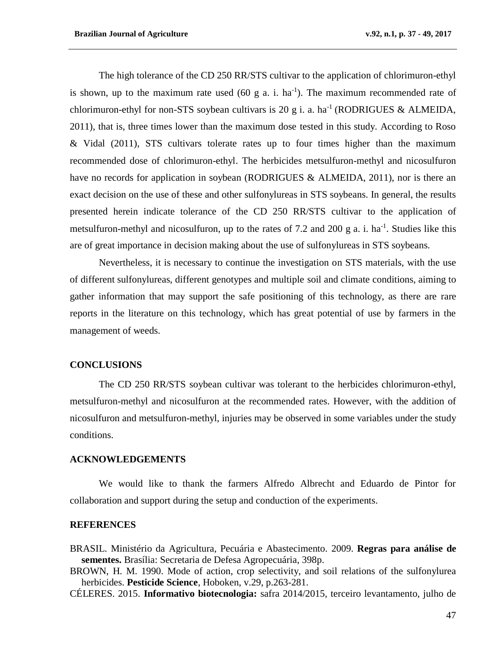The high tolerance of the CD 250 RR/STS cultivar to the application of chlorimuron-ethyl is shown, up to the maximum rate used  $(60 \text{ g a. i. ha}^{-1})$ . The maximum recommended rate of chlorimuron-ethyl for non-STS soybean cultivars is 20 g i. a. ha<sup>-1</sup> (RODRIGUES & ALMEIDA, 2011), that is, three times lower than the maximum dose tested in this study. According to Roso & Vidal (2011), STS cultivars tolerate rates up to four times higher than the maximum recommended dose of chlorimuron-ethyl. The herbicides metsulfuron-methyl and nicosulfuron have no records for application in soybean (RODRIGUES & ALMEIDA, 2011), nor is there an exact decision on the use of these and other sulfonylureas in STS soybeans. In general, the results presented herein indicate tolerance of the CD 250 RR/STS cultivar to the application of metsulfuron-methyl and nicosulfuron, up to the rates of 7.2 and 200 g a. i. ha<sup>-1</sup>. Studies like this are of great importance in decision making about the use of sulfonylureas in STS soybeans.

Nevertheless, it is necessary to continue the investigation on STS materials, with the use of different sulfonylureas, different genotypes and multiple soil and climate conditions, aiming to gather information that may support the safe positioning of this technology, as there are rare reports in the literature on this technology, which has great potential of use by farmers in the management of weeds.

### **CONCLUSIONS**

The CD 250 RR/STS soybean cultivar was tolerant to the herbicides chlorimuron-ethyl, metsulfuron-methyl and nicosulfuron at the recommended rates. However, with the addition of nicosulfuron and metsulfuron-methyl, injuries may be observed in some variables under the study conditions.

### **ACKNOWLEDGEMENTS**

We would like to thank the farmers Alfredo Albrecht and Eduardo de Pintor for collaboration and support during the setup and conduction of the experiments.

#### **REFERENCES**

BRASIL. Ministério da Agricultura, Pecuária e Abastecimento. 2009. **Regras para análise de sementes.** Brasília: Secretaria de Defesa Agropecuária, 398p.

BROWN, H. M. 1990. Mode of action, crop selectivity, and soil relations of the sulfonylurea herbicides. **Pesticide Science**, Hoboken, v.29, p.263-281.

CÉLERES. 2015. **Informativo biotecnologia:** safra 2014/2015, terceiro levantamento, julho de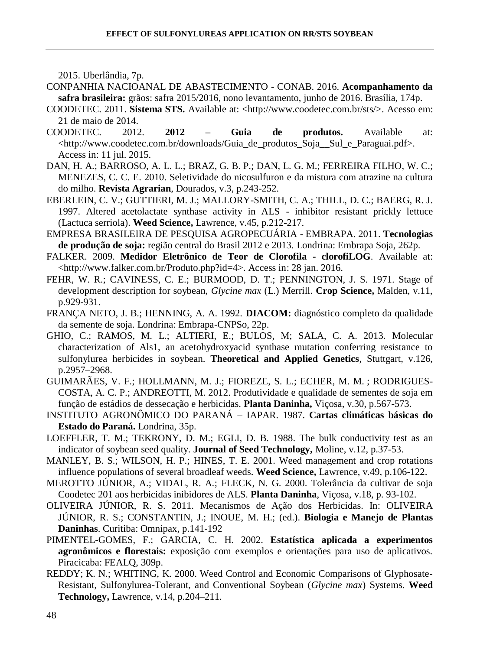2015. Uberlândia, 7p.

- CONPANHIA NACIOANAL DE ABASTECIMENTO CONAB. 2016. **Acompanhamento da safra brasileira:** grãos: safra 2015/2016, nono levantamento, junho de 2016. Brasília, 174p.
- COODETEC. 2011. **Sistema STS.** Available at: <http://www.coodetec.com.br/sts/>. Acesso em: 21 de maio de 2014.
- COODETEC. 2012. **2012 – Guia de produtos.** Available at: <http://www.coodetec.com.br/downloads/Guia\_de\_produtos\_Soja\_\_Sul\_e\_Paraguai.pdf>. Access in: 11 jul. 2015.
- DAN, H. A.; BARROSO, A. L. L.; BRAZ, G. B. P.; DAN, L. G. M.; FERREIRA FILHO, W. C.; MENEZES, C. C. E. 2010. Seletividade do nicosulfuron e da mistura com atrazine na cultura do milho. **Revista Agrarian**, Dourados, v.3, p.243-252.
- EBERLEIN, C. V.; GUTTIERI, M. J.; MALLORY-SMITH, C. A.; THILL, D. C.; BAERG, R. J. 1997. Altered acetolactate synthase activity in ALS - inhibitor resistant prickly lettuce (Lactuca serriola). **Weed Science,** Lawrence, v.45, p.212-217.
- EMPRESA BRASILEIRA DE PESQUISA AGROPECUÁRIA EMBRAPA. 2011. **Tecnologias de produção de soja:** região central do Brasil 2012 e 2013. Londrina: Embrapa Soja, 262p.
- FALKER. 2009. **Medidor Eletrônico de Teor de Clorofila - clorofiLOG**. Available at: <http://www.falker.com.br/Produto.php?id=4>. Access in: 28 jan. 2016.
- FEHR, W. R.; CAVINESS, C. E.; BURMOOD, D. T.; PENNINGTON, J. S. 1971. Stage of development description for soybean, *Glycine max* (L.) Merrill. **Crop Science,** Malden, v.11, p.929-931.
- FRANÇA NETO, J. B.; HENNING, A. A. 1992. **DIACOM:** diagnóstico completo da qualidade da semente de soja. Londrina: Embrapa-CNPSo, 22p.
- GHIO, C.; RAMOS, M. L.; ALTIERI, E.; BULOS, M; SALA, C. A. 2013. Molecular characterization of Als1, an acetohydroxyacid synthase mutation conferring resistance to sulfonylurea herbicides in soybean. **Theoretical and Applied Genetics**, Stuttgart, v.126, p.2957–2968.
- GUIMARÃES, V. F.; HOLLMANN, M. J.; FIOREZE, S. L.; ECHER, M. M. ; RODRIGUES-COSTA, A. C. P.; ANDREOTTI, M. 2012. Produtividade e qualidade de sementes de soja em função de estádios de dessecação e herbicidas. **Planta Daninha,** Viçosa, v.30, p.567-573.
- INSTITUTO AGRONÔMICO DO PARANÁ IAPAR. 1987. **Cartas climáticas básicas do Estado do Paraná.** Londrina, 35p.
- LOEFFLER, T. M.; TEKRONY, D. M.; EGLI, D. B. 1988. The bulk conductivity test as an indicator of soybean seed quality. **Journal of Seed Technology,** Moline, v.12, p.37-53.
- MANLEY, B. S.; WILSON, H. P.; HINES, T. E. 2001. Weed management and crop rotations influence populations of several broadleaf weeds. **Weed Science,** Lawrence, v.49, p.106-122.
- MEROTTO JÚNIOR, A.; VIDAL, R. A.; FLECK, N. G. 2000. Tolerância da cultivar de soja Coodetec 201 aos herbicidas inibidores de ALS. **Planta Daninha**, Viçosa, v.18, p. 93-102.
- OLIVEIRA JÚNIOR, R. S. 2011. Mecanismos de Ação dos Herbicidas. In: OLIVEIRA JÚNIOR, R. S.; CONSTANTIN, J.; INOUE, M. H.; (ed.). **Biologia e Manejo de Plantas Daninhas**. Curitiba: Omnipax, p.141-192
- PIMENTEL-GOMES, F.; GARCIA, C. H. 2002. **Estatística aplicada a experimentos agronômicos e florestais:** exposição com exemplos e orientações para uso de aplicativos. Piracicaba: FEALQ, 309p.
- REDDY; K. N.; WHITING, K. 2000. Weed Control and Economic Comparisons of Glyphosate-Resistant, Sulfonylurea-Tolerant, and Conventional Soybean (*Glycine max*) Systems. **Weed Technology,** Lawrence, v.14, p.204–211.